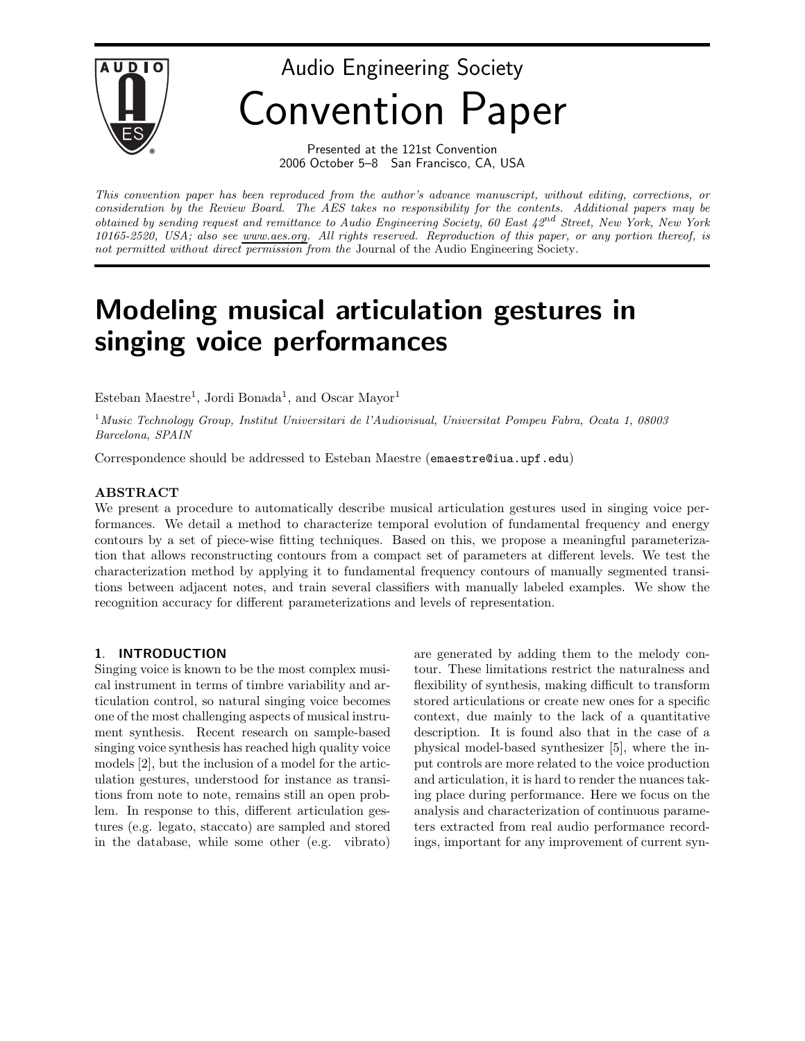

Audio Engineering Society Convention Paper

> Presented at the 121st Convention 2006 October 5–8 San Francisco, CA, USA

*This convention paper has been reproduced from the author's advance manuscript, without editing, corrections, or consideration by the Review Board. The AES takes no responsibility for the contents. Additional papers may be obtained by sending request and remittance to Audio Engineering Society, 60 East 42nd Street, New York, New York 10165-2520, USA; also see www.aes.org. All rights reserved. Reproduction of this paper, or any portion thereof, is not permitted without direct permission from the* Journal of the Audio Engineering Society*.*

# **Modeling musical articulation gestures in singing voice performances**

Esteban Maestre<sup>1</sup>, Jordi Bonada<sup>1</sup>, and Oscar Mayor<sup>1</sup>

<sup>1</sup>*Music Technology Group, Institut Universitari de l'Audiovisual, Universitat Pompeu Fabra, Ocata 1, 08003 Barcelona, SPAIN*

Correspondence should be addressed to Esteban Maestre (emaestre @iua.upf.edu)

We present a procedure to automatically describe musical articulation gestures used in singing voice performances. We detail a method to characterize temporal evolution of fundamental frequency and energy contours by a set of piece-wise fitting techniques. Based on this, we propose a meaningful parameterization that allows reconstructing contours from a compact set of parameters at different levels. We test the characterization method by applying it to fundamental frequency contours of manually segmented transitions between adjacent notes, and train several classifiers with manually labeled examples. We show the recognition accuracy for different parameterizations and levels of representation.

# **1**. **INTRODUCTION**

Singing voice is known to be the most complex musical instrument in terms of timbre variability and articulation control, so natural singing voice becomes one of the most challenging aspects of musical instrument synthesis. Recent research on sample-based singing voice synthesis has reached high quality voice models [2], but the inclusion of a model for the articulation gestures, understood for instance as transitions from note to note, remains still an open problem. In response to this, different articulation gestures (e.g. legato, staccato) are sampled and stored in the database, while some other (e.g. vibrato)

are generated by adding them to the melody contour. These limitations restrict the naturalness and flexibility of synthesis, making difficult to transform stored articulations or create new ones for a specific context, due mainly to the lack of a quantitative description. It is found also that in the case of a physical model-based synthesizer [5], where the input controls are more related to the voice production and articulation, it is hard to render the nuances taking place during performance. Here we focus on the analysis and characterization of continuous parameters extracted from real audio performance recordings, important for any improvement of current syn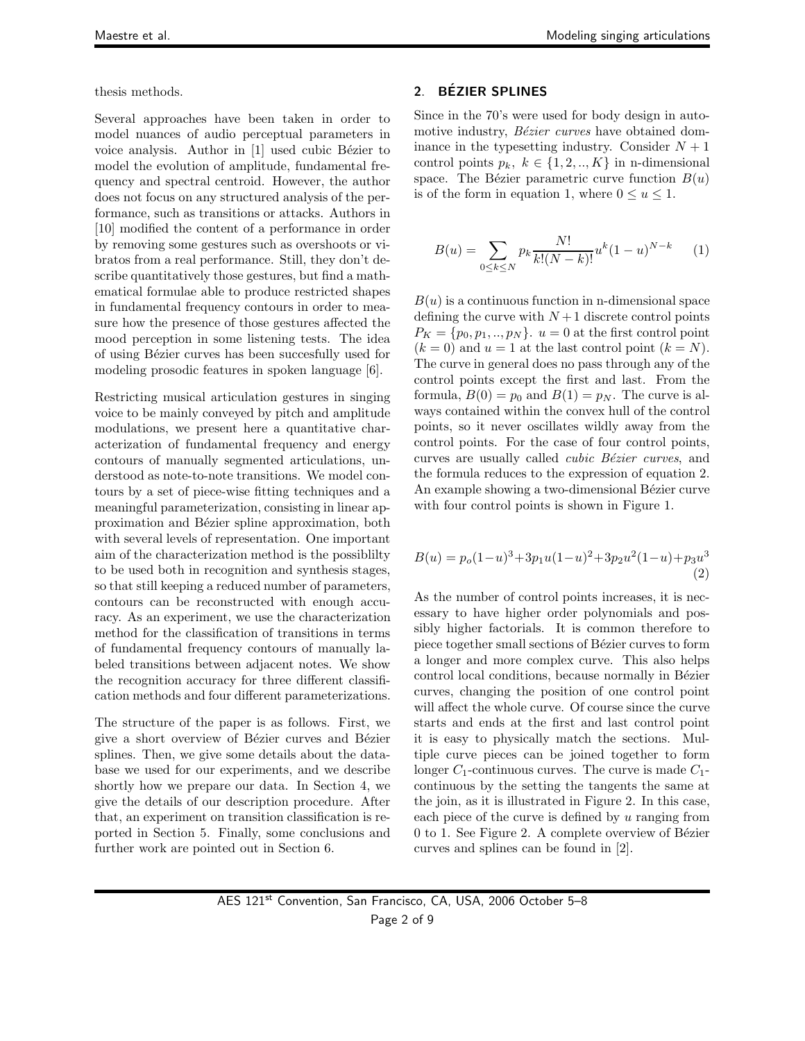thesis methods.

Several approaches have been taken in order to model nuances of audio perceptual parameters in voice analysis. Author in  $[1]$  used cubic Bézier to model the evolution of amplitude, fundamental frequency and spectral centroid. However, the author does not focus on any structured analysis of the performance, such as transitions or attacks. Authors in [10] modified the content of a performance in order by removing some gestures such as overshoots or vibratos from a real performance. Still, they don't describe quantitatively those gestures, but find a mathematical formulae able to produce restricted shapes in fundamental frequency contours in order to measure how the presence of those gestures affected the mood perception in some listening tests. The idea of using Bézier curves has been succesfully used for modeling prosodic features in spoken language [6].

Restricting musical articulation gestures in singing voice to be mainly conveyed by pitch and amplitude modulations, we present here a quantitative characterization of fundamental frequency and energy contours of manually segmented articulations, understood as note-to-note transitions. We model contours by a set of piece-wise fitting techniques and a meaningful parameterization, consisting in linear approximation and Bézier spline approximation, both with several levels of representation. One important aim of the characterization method is the possiblilty to be used both in recognition and synthesis stages, so that still keeping a reduced number of parameters, contours can be reconstructed with enough accuracy. As an experiment, we use the characterization method for the classification of transitions in terms of fundamental frequency contours of manually labeled transitions between adjacent notes. We show the recognition accuracy for three different classification methods and four different parameterizations.

The structure of the paper is as follows. First, we give a short overview of Bézier curves and Bézier splines. Then, we give some details about the database we used for our experiments, and we describe shortly how we prepare our data. In Section 4, we give the details of our description procedure. After that, an experiment on transition classification is reported in Section 5. Finally, some conclusions and further work are pointed out in Section 6.

# **2**. **BEZIER SPLINES ´**

Since in the 70's were used for body design in automotive industry, *Bézier curves* have obtained dominance in the typesetting industry. Consider  $N + 1$ control points  $p_k, k \in \{1, 2, ..., K\}$  in n-dimensional space. The Bézier parametric curve function  $B(u)$ is of the form in equation 1, where  $0 \le u \le 1$ .

$$
B(u) = \sum_{0 \le k \le N} p_k \frac{N!}{k!(N-k)!} u^k (1-u)^{N-k} \qquad (1)
$$

 $B(u)$  is a continuous function in n-dimensional space defining the curve with  $N+1$  discrete control points  $P_K = \{p_0, p_1, \ldots, p_N\}$ .  $u = 0$  at the first control point  $(k = 0)$  and  $u = 1$  at the last control point  $(k = N)$ . The curve in general does no pass through any of the control points except the first and last. From the formula,  $B(0) = p_0$  and  $B(1) = p_N$ . The curve is always contained within the convex hull of the control points, so it never oscillates wildly away from the control points. For the case of four control points, curves are usually called *cubic Bézier curves*, and the formula reduces to the expression of equation 2. An example showing a two-dimensional Bézier curve with four control points is shown in Figure 1.

$$
B(u) = p_o(1-u)^3 + 3p_1u(1-u)^2 + 3p_2u^2(1-u) + p_3u^3
$$
\n(2)

As the number of control points increases, it is necessary to have higher order polynomials and possibly higher factorials. It is common therefore to piece together small sections of Bézier curves to form a longer and more complex curve. This also helps control local conditions, because normally in Bézier curves, changing the position of one control point will affect the whole curve. Of course since the curve starts and ends at the first and last control point it is easy to physically match the sections. Multiple curve pieces can be joined together to form longer  $C_1$ -continuous curves. The curve is made  $C_1$ continuous by the setting the tangents the same at the join, as it is illustrated in Figure 2. In this case, each piece of the curve is defined by u ranging from  $0$  to 1. See Figure 2. A complete overview of Bézier curves and splines can be found in [2].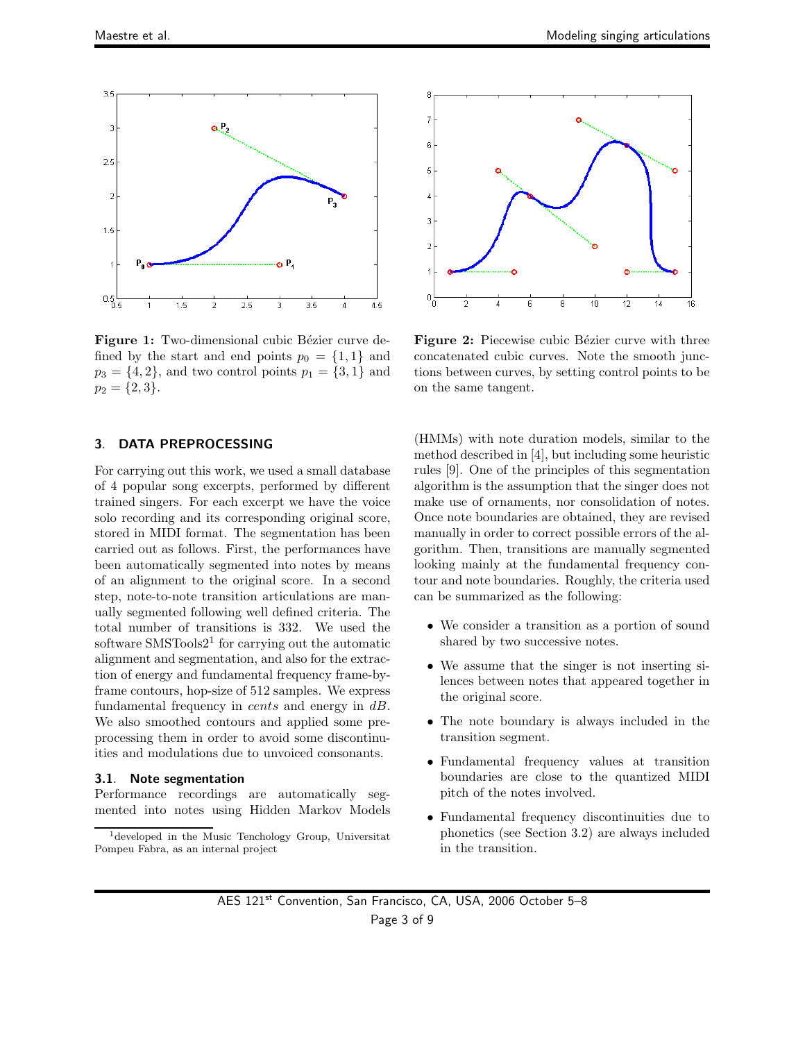

Figure 1: Two-dimensional cubic Bézier curve defined by the start and end points  $p_0 = \{1, 1\}$  and  $p_3 = \{4, 2\}$ , and two control points  $p_1 = \{3, 1\}$  and  $p_2 = \{2,3\}.$ 

#### **3**. **DATA PREPROCESSING**

For carrying out this work, we used a small database of 4 popular song excerpts, performed by different trained singers. For each excerpt we have the voice solo recording and its corresponding original score, stored in MIDI format. The segmentation has been carried out as follows. First, the performances have been automatically segmented into notes by means of an alignment to the original score. In a second step, note-to-note transition articulations are manually segmented following well defined criteria. The total number of transitions is 332. We used the software  $\text{S}\text{M}\text{S}\text{Tools}2^1$  for carrying out the automatic alignment and segmentation, and also for the extraction of energy and fundamental frequency frame-byframe contours, hop-size of 512 samples. We express fundamental frequency in *cents* and energy in  $dB$ . We also smoothed contours and applied some preprocessing them in order to avoid some discontinuities and modulations due to unvoiced consonants.

#### **3.1**. **Note segmentation**

Performance recordings are automatically segmented into notes using Hidden Markov Models



Figure 2: Piecewise cubic Bézier curve with three concatenated cubic curves. Note the smooth junctions between curves, by setting control points to be on the same tangent.

(HMMs) with note duration models, similar to the method described in [4], but including some heuristic rules [9]. One of the principles of this segmentation algorithm is the assumption that the singer does not make use of ornaments, nor consolidation of notes. Once note boundaries are obtained, they are revised manually in order to correct possible errors of the algorithm. Then, transitions are manually segmented looking mainly at the fundamental frequency contour and note boundaries. Roughly, the criteria used can be summarized as the following:

- We consider a transition as a portion of sound shared by two successive notes.
- We assume that the singer is not inserting silences between notes that appeared together in the original score.
- The note boundary is always included in the transition segment.
- Fundamental frequency values at transition boundaries are close to the quantized MIDI pitch of the notes involved.
- Fundamental frequency discontinuities due to phonetics (see Section 3.2) are always included in the transition.

<sup>1</sup>developed in the Music Tenchology Group, Universitat Pompeu Fabra, as an internal project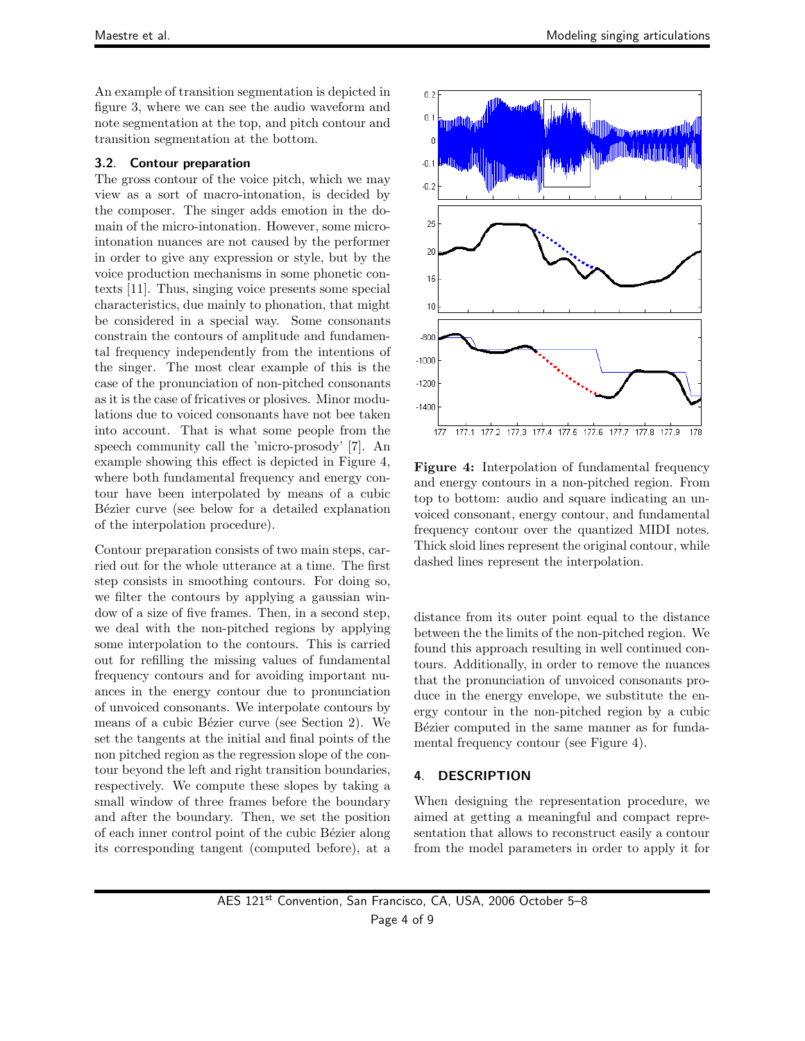An example of transition segmentation is depicted in figure 3, where we can see the audio waveform and note segmentation at the top, and pitch contour and transition segmentation at the bottom.

#### **3.2**. **Contour preparation**

The gross contour of the voice pitch, which we may view as a sort of macro-intonation, is decided by the composer. The singer adds emotion in the domain of the micro-intonation. However, some microintonation nuances are not caused by the performer in order to give any expression or style, but by the voice production mechanisms in some phonetic contexts [11]. Thus, singing voice presents some special characteristics, due mainly to phonation, that might be considered in a special way. Some consonants constrain the contours of amplitude and fundamental frequency independently from the intentions of the singer. The most clear example of this is the case of the pronunciation of non-pitched consonants as it is the case of fricatives or plosives. Minor modulations due to voiced consonants have not bee taken into account. That is what some people from the speech community call the 'micro-prosody' [7]. An example showing this effect is depicted in Figure 4, where both fundamental frequency and energy contour have been interpolated by means of a cubic Bézier curve (see below for a detailed explanation of the interpolation procedure).

Contour preparation consists of two main steps, carried out for the whole utterance at a time. The first step consists in smoothing contours. For doing so, we filter the contours by applying a gaussian window of a size of five frames. Then, in a second step, we deal with the non-pitched regions by applying some interpolation to the contours. This is carried out for refilling the missing values of fundamental frequency contours and for avoiding important nuances in the energy contour due to pronunciation of unvoiced consonants. We interpolate contours by means of a cubic Bézier curve (see Section 2). We set the tangents at the initial and final points of the non pitched region as the regression slope of the contour beyond the left and right transition boundaries, respectively. We compute these slopes by taking a small window of three frames before the boundary and after the boundary. Then, we set the position of each inner control point of the cubic Bézier along its corresponding tangent (computed before), at a



**Figure 4:** Interpolation of fundamental frequency and energy contours in a non-pitched region. From top to bottom: audio and square indicating an unvoiced consonant, energy contour, and fundamental frequency contour over the quantized MIDI notes. Thick sloid lines represent the original contour, while dashed lines represent the interpolation.

distance from its outer point equal to the distance between the the limits of the non-pitched region. We found this approach resulting in well continued contours. Additionally, in order to remove the nuances that the pronunciation of unvoiced consonants produce in the energy envelope, we substitute the energy contour in the non-pitched region by a cubic Bézier computed in the same manner as for fundamental frequency contour (see Figure 4).

#### **4**. **DESCRIPTION**

When designing the representation procedure, we aimed at getting a meaningful and compact representation that allows to reconstruct easily a contour from the model parameters in order to apply it for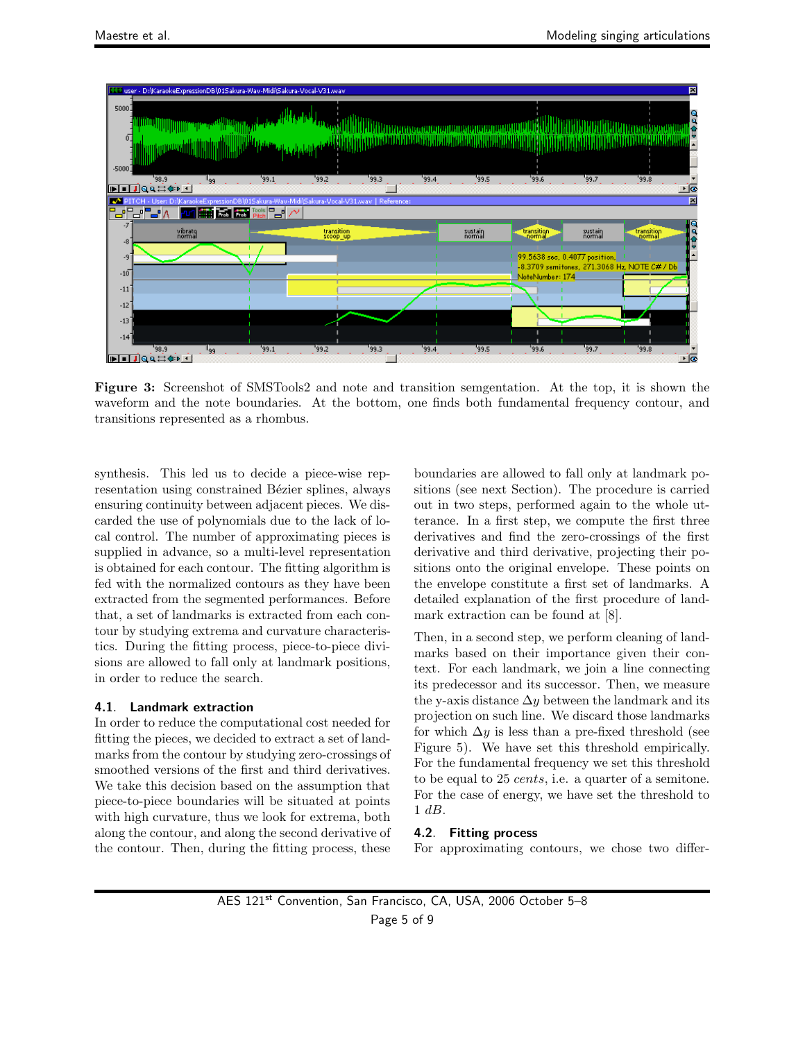

**Figure 3:** Screenshot of SMSTools2 and note and transition semgentation. At the top, it is shown the waveform and the note boundaries. At the bottom, one finds both fundamental frequency contour, and transitions represented as a rhombus.

synthesis. This led us to decide a piece-wise representation using constrained Bézier splines, always ensuring continuity between adjacent pieces. We discarded the use of polynomials due to the lack of local control. The number of approximating pieces is supplied in advance, so a multi-level representation is obtained for each contour. The fitting algorithm is fed with the normalized contours as they have been extracted from the segmented performances. Before that, a set of landmarks is extracted from each contour by studying extrema and curvature characteristics. During the fitting process, piece-to-piece divisions are allowed to fall only at landmark positions, in order to reduce the search.

#### **4.1**. **Landmark extraction**

In order to reduce the computational cost needed for fitting the pieces, we decided to extract a set of landmarks from the contour by studying zero-crossings of smoothed versions of the first and third derivatives. We take this decision based on the assumption that piece-to-piece boundaries will be situated at points with high curvature, thus we look for extrema, both along the contour, and along the second derivative of the contour. Then, during the fitting process, these boundaries are allowed to fall only at landmark positions (see next Section). The procedure is carried out in two steps, performed again to the whole utterance. In a first step, we compute the first three derivatives and find the zero-crossings of the first derivative and third derivative, projecting their positions onto the original envelope. These points on the envelope constitute a first set of landmarks. A detailed explanation of the first procedure of landmark extraction can be found at [8].

Then, in a second step, we perform cleaning of landmarks based on their importance given their context. For each landmark, we join a line connecting its predecessor and its successor. Then, we measure the y-axis distance  $\Delta y$  between the landmark and its projection on such line. We discard those landmarks for which  $\Delta y$  is less than a pre-fixed threshold (see Figure 5). We have set this threshold empirically. For the fundamental frequency we set this threshold to be equal to 25 cents, i.e. a quarter of a semitone. For the case of energy, we have set the threshold to 1 dB.

# **4.2**. **Fitting process**

For approximating contours, we chose two differ-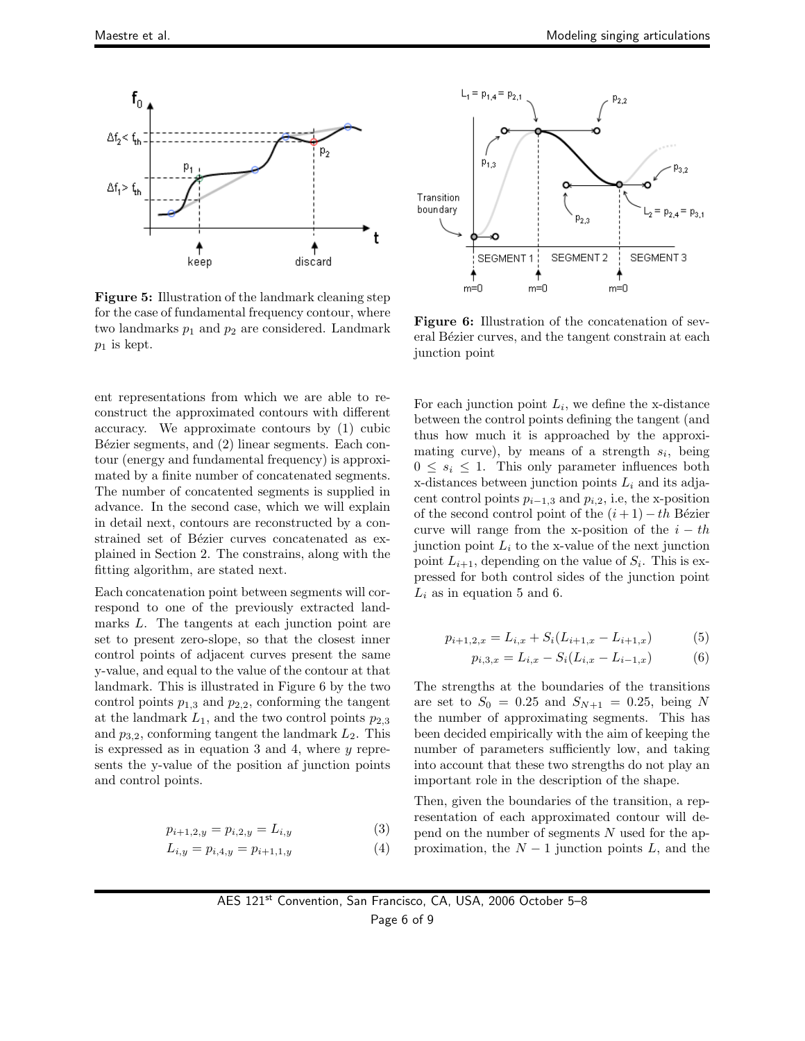

**Figure 5:** Illustration of the landmark cleaning step for the case of fundamental frequency contour, where two landmarks  $p_1$  and  $p_2$  are considered. Landmark  $p_1$  is kept.

ent representations from which we are able to reconstruct the approximated contours with different accuracy. We approximate contours by (1) cubic Bézier segments, and  $(2)$  linear segments. Each contour (energy and fundamental frequency) is approximated by a finite number of concatenated segments. The number of concatented segments is supplied in advance. In the second case, which we will explain in detail next, contours are reconstructed by a constrained set of Bézier curves concatenated as explained in Section 2. The constrains, along with the fitting algorithm, are stated next.

Each concatenation point between segments will correspond to one of the previously extracted landmarks L. The tangents at each junction point are set to present zero-slope, so that the closest inner control points of adjacent curves present the same y-value, and equal to the value of the contour at that landmark. This is illustrated in Figure 6 by the two control points  $p_{1,3}$  and  $p_{2,2}$ , conforming the tangent at the landmark  $L_1$ , and the two control points  $p_{2,3}$ and  $p_{3,2}$ , conforming tangent the landmark  $L_2$ . This is expressed as in equation 3 and 4, where  $y$  represents the y-value of the position af junction points and control points.

$$
p_{i+1,2,y} = p_{i,2,y} = L_{i,y}
$$
 (3)

$$
L_{i,y} = p_{i,4,y} = p_{i+1,1,y} \tag{4}
$$



**Figure 6:** Illustration of the concatenation of several Bézier curves, and the tangent constrain at each junction point

For each junction point  $L_i$ , we define the x-distance between the control points defining the tangent (and thus how much it is approached by the approximating curve), by means of a strength  $s_i$ , being  $0 \leq s_i \leq 1$ . This only parameter influences both x-distances between junction points L*<sup>i</sup>* and its adjacent control points  $p_{i-1,3}$  and  $p_{i,2}$ , i.e, the x-position of the second control point of the  $(i + 1) - th$  Bézier curve will range from the x-position of the  $i - th$ junction point  $L_i$  to the x-value of the next junction point  $L_{i+1}$ , depending on the value of  $S_i$ . This is expressed for both control sides of the junction point  $L_i$  as in equation 5 and 6.

$$
p_{i+1,2,x} = L_{i,x} + S_i(L_{i+1,x} - L_{i+1,x})
$$
 (5)

$$
p_{i,3,x} = L_{i,x} - S_i(L_{i,x} - L_{i-1,x})
$$
 (6)

The strengths at the boundaries of the transitions are set to  $S_0 = 0.25$  and  $S_{N+1} = 0.25$ , being N the number of approximating segments. This has been decided empirically with the aim of keeping the number of parameters sufficiently low, and taking into account that these two strengths do not play an important role in the description of the shape.

Then, given the boundaries of the transition, a representation of each approximated contour will depend on the number of segments  $N$  used for the approximation, the  $N-1$  junction points L, and the

AES 121st Convention, San Francisco, CA, USA, 2006 October 5–8 Page 6 of 9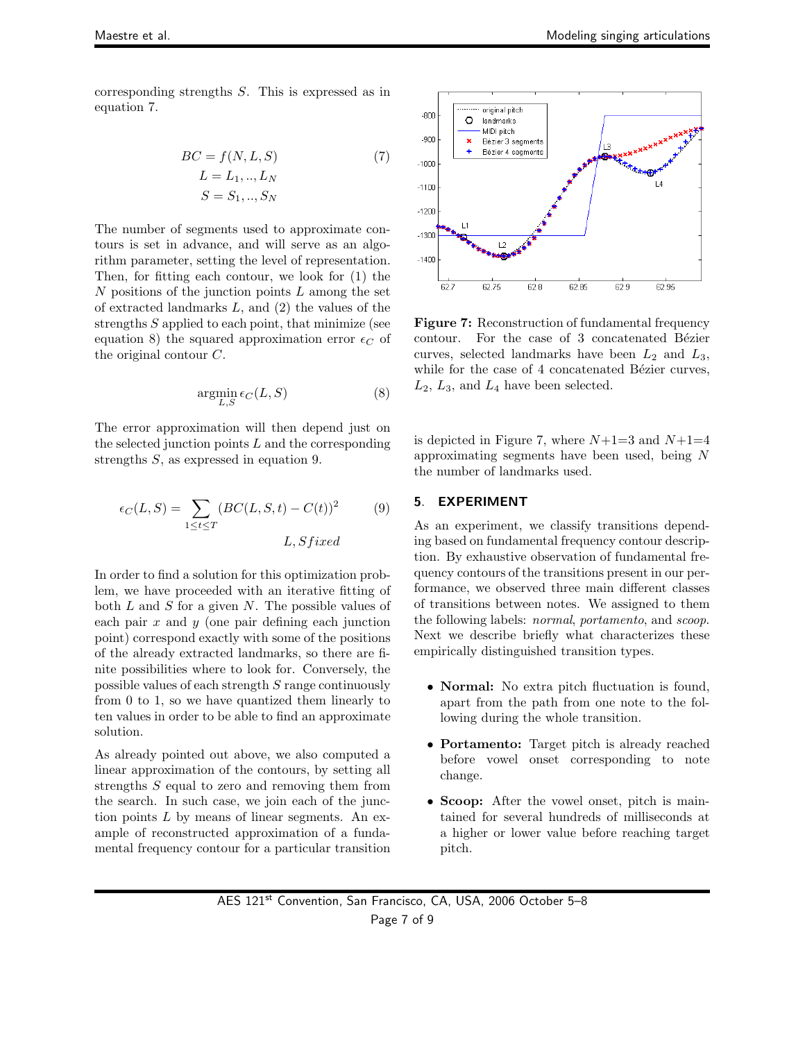corresponding strengths S. This is expressed as in equation 7.

$$
BC = f(N, L, S)
$$
  
\n
$$
L = L_1, ..., L_N
$$
  
\n
$$
S = S_1, ..., S_N
$$
  
\n(7)

The number of segments used to approximate contours is set in advance, and will serve as an algorithm parameter, setting the level of representation. Then, for fitting each contour, we look for (1) the  $N$  positions of the junction points  $L$  among the set of extracted landmarks  $L$ , and  $(2)$  the values of the strengths  $S$  applied to each point, that minimize (see equation 8) the squared approximation error  $\epsilon_C$  of the original contour C.

$$
\underset{L,S}{\text{argmin}} \,\epsilon_C(L,S) \tag{8}
$$

The error approximation will then depend just on the selected junction points  $L$  and the corresponding strengths S, as expressed in equation 9.

$$
\epsilon_C(L, S) = \sum_{1 \le t \le T} (BC(L, S, t) - C(t))^2
$$
(9)  
L, S fixed

In order to find a solution for this optimization problem, we have proceeded with an iterative fitting of both  $L$  and  $S$  for a given  $N$ . The possible values of each pair  $x$  and  $y$  (one pair defining each junction point) correspond exactly with some of the positions of the already extracted landmarks, so there are finite possibilities where to look for. Conversely, the possible values of each strength S range continuously from 0 to 1, so we have quantized them linearly to ten values in order to be able to find an approximate solution.

As already pointed out above, we also computed a linear approximation of the contours, by setting all strengths S equal to zero and removing them from the search. In such case, we join each of the junction points  $L$  by means of linear segments. An example of reconstructed approximation of a fundamental frequency contour for a particular transition



**Figure 7:** Reconstruction of fundamental frequency contour. For the case of 3 concatenated Bézier curves, selected landmarks have been  $L_2$  and  $L_3$ , while for the case of 4 concatenated Bézier curves,  $L_2$ ,  $L_3$ , and  $L_4$  have been selected.

is depicted in Figure 7, where  $N+1=3$  and  $N+1=4$ approximating segments have been used, being N the number of landmarks used.

### **5**. **EXPERIMENT**

As an experiment, we classify transitions depending based on fundamental frequency contour description. By exhaustive observation of fundamental frequency contours of the transitions present in our performance, we observed three main different classes of transitions between notes. We assigned to them the following labels: *normal*, *portamento*, and *scoop*. Next we describe briefly what characterizes these empirically distinguished transition types.

- **Normal:** No extra pitch fluctuation is found, apart from the path from one note to the following during the whole transition.
- **Portamento:** Target pitch is already reached before vowel onset corresponding to note change.
- **Scoop:** After the vowel onset, pitch is maintained for several hundreds of milliseconds at a higher or lower value before reaching target pitch.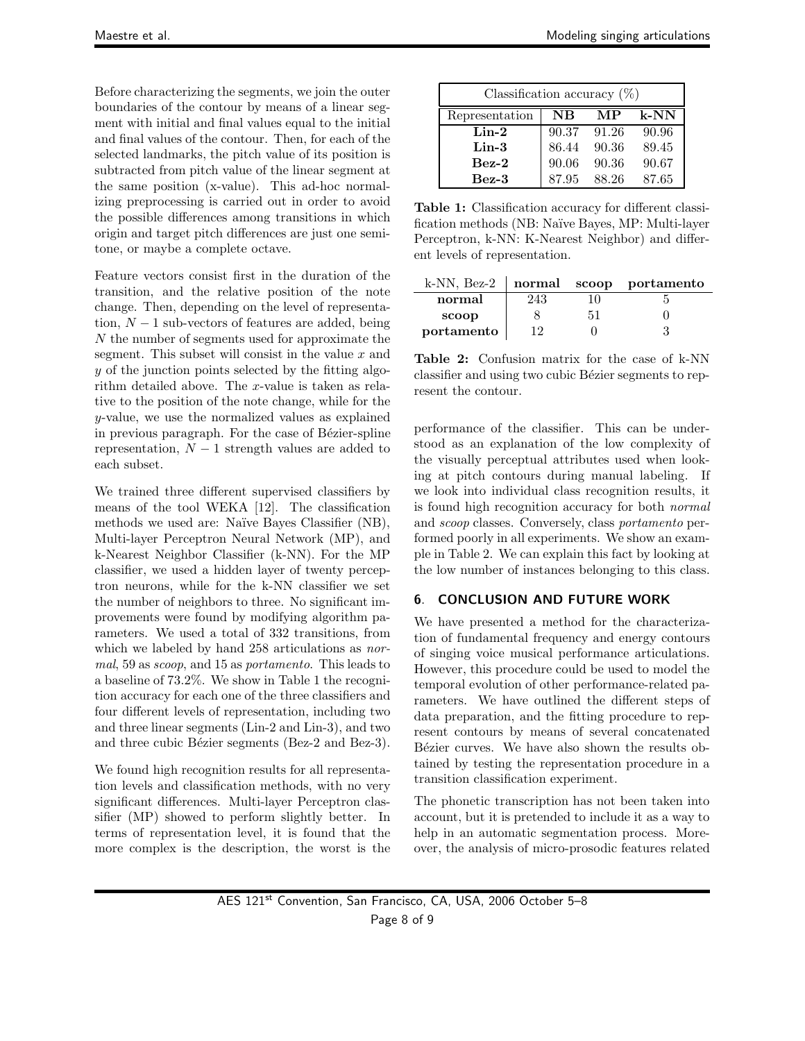Before characterizing the segments, we join the outer boundaries of the contour by means of a linear segment with initial and final values equal to the initial and final values of the contour. Then, for each of the selected landmarks, the pitch value of its position is subtracted from pitch value of the linear segment at the same position (x-value). This ad-hoc normalizing preprocessing is carried out in order to avoid the possible differences among transitions in which origin and target pitch differences are just one semitone, or maybe a complete octave.

Feature vectors consist first in the duration of the transition, and the relative position of the note change. Then, depending on the level of representation,  $N-1$  sub-vectors of features are added, being N the number of segments used for approximate the segment. This subset will consist in the value  $x$  and y of the junction points selected by the fitting algorithm detailed above. The x-value is taken as relative to the position of the note change, while for the y-value, we use the normalized values as explained in previous paragraph. For the case of Bézier-spline representation,  $N-1$  strength values are added to each subset.

We trained three different supervised classifiers by means of the tool WEKA [12]. The classification methods we used are: Naïve Bayes Classifier (NB), Multi-layer Perceptron Neural Network (MP), and k-Nearest Neighbor Classifier (k-NN). For the MP classifier, we used a hidden layer of twenty perceptron neurons, while for the k-NN classifier we set the number of neighbors to three. No significant improvements were found by modifying algorithm parameters. We used a total of 332 transitions, from which we labeled by hand 258 articulations as *normal*, 59 as *scoop*, and 15 as *portamento*. This leads to a baseline of 73.2%. We show in Table 1 the recognition accuracy for each one of the three classifiers and four different levels of representation, including two and three linear segments (Lin-2 and Lin-3), and two and three cubic Bézier segments (Bez-2 and Bez-3).

We found high recognition results for all representation levels and classification methods, with no very significant differences. Multi-layer Perceptron classifier (MP) showed to perform slightly better. In terms of representation level, it is found that the more complex is the description, the worst is the

| Classification accuracy $(\%)$ |             |       |         |  |  |
|--------------------------------|-------------|-------|---------|--|--|
| Representation                 | $_{\rm NB}$ | MР    | $k$ -NN |  |  |
| $Lin-2$                        | 90.37       | 91.26 | 90.96   |  |  |
| $Lin-3$                        | 86.44       | 90.36 | 89.45   |  |  |
| $Bez-2$                        | 90.06       | 90.36 | 90.67   |  |  |
| $Bez-3$                        | 87.95       | 88.26 | 87.65   |  |  |

**Table 1:** Classification accuracy for different classification methods (NB: Na¨ıve Bayes, MP: Multi-layer Perceptron, k-NN: K-Nearest Neighbor) and different levels of representation.

| k-NN, Bez-2 |     | normal scoop portamento |
|-------------|-----|-------------------------|
| normal      | 243 |                         |
| scoop       |     |                         |
| portamento  | 19  |                         |
|             |     |                         |

**Table 2:** Confusion matrix for the case of k-NN classifier and using two cubic Bézier segments to represent the contour.

performance of the classifier. This can be understood as an explanation of the low complexity of the visually perceptual attributes used when looking at pitch contours during manual labeling. If we look into individual class recognition results, it is found high recognition accuracy for both *normal* and *scoop* classes. Conversely, class *portamento* performed poorly in all experiments. We show an example in Table 2. We can explain this fact by looking at the low number of instances belonging to this class.

# **6**. **CONCLUSION AND FUTURE WORK**

We have presented a method for the characterization of fundamental frequency and energy contours of singing voice musical performance articulations. However, this procedure could be used to model the temporal evolution of other performance-related parameters. We have outlined the different steps of data preparation, and the fitting procedure to represent contours by means of several concatenated Bézier curves. We have also shown the results obtained by testing the representation procedure in a transition classification experiment.

The phonetic transcription has not been taken into account, but it is pretended to include it as a way to help in an automatic segmentation process. Moreover, the analysis of micro-prosodic features related